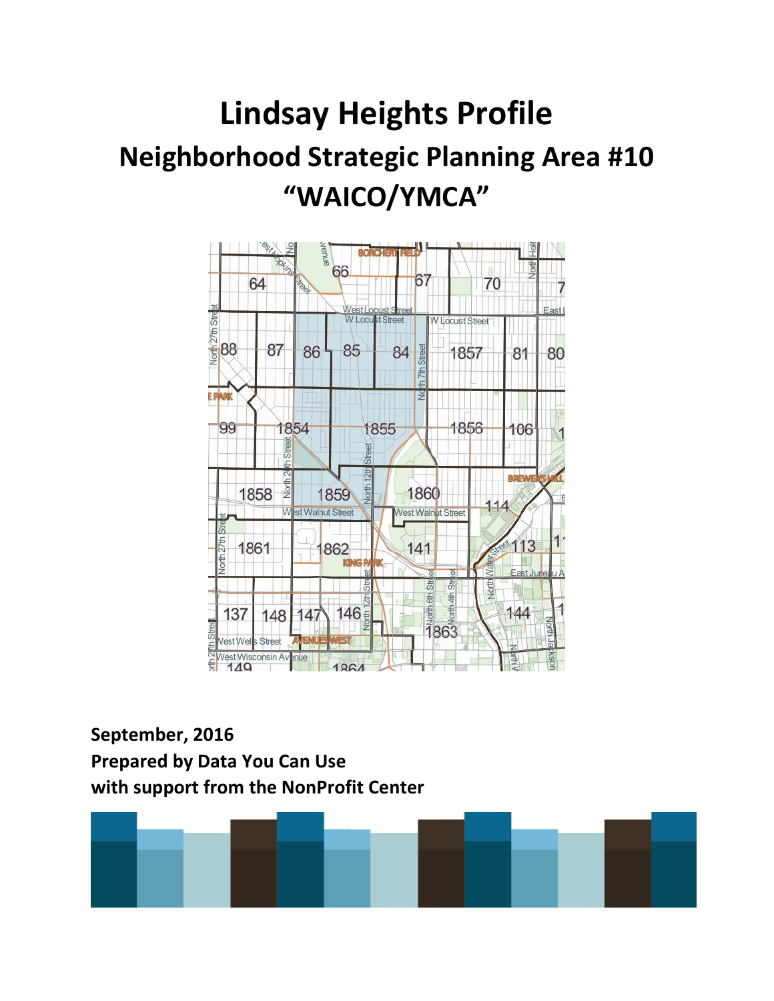# **Lindsay Heights Profile Neighborhood Strategic Planning Area #10 "WAICO/YMCA"**



## **September, 2016 Prepared by Data You Can Use with support from the NonProfit Center**

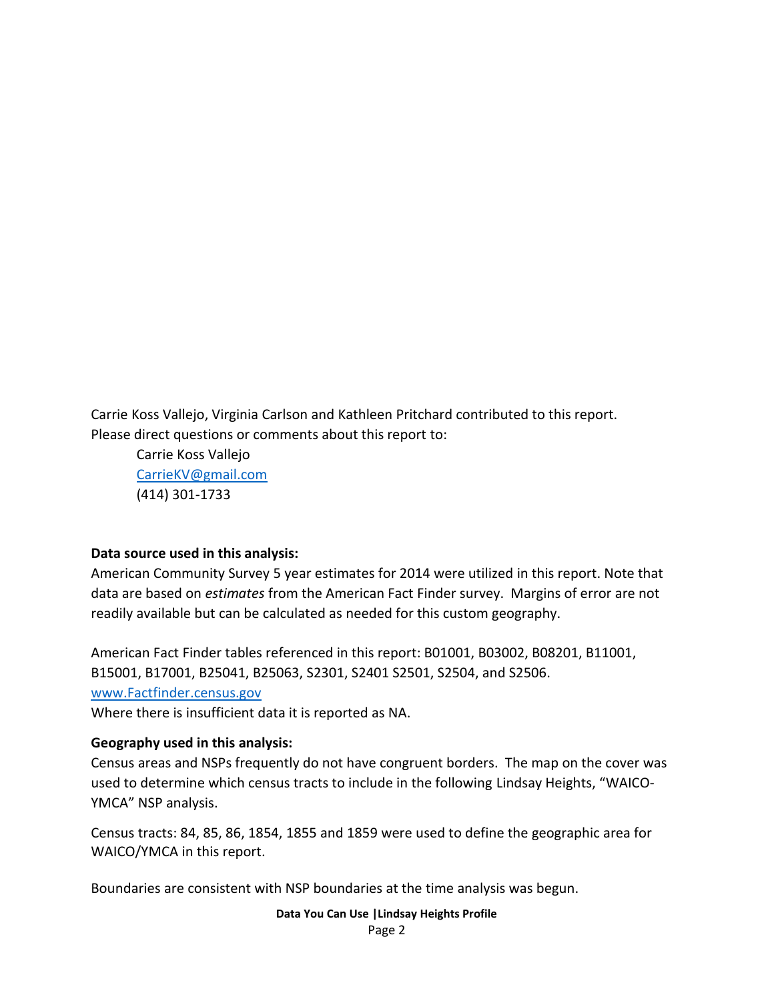Carrie Koss Vallejo, Virginia Carlson and Kathleen Pritchard contributed to this report. Please direct questions or comments about this report to:

Carrie Koss Vallejo [CarrieKV@gmail.com](mailto:CarrieKV@gmail.com) (414) 301-1733

#### **Data source used in this analysis:**

American Community Survey 5 year estimates for 2014 were utilized in this report. Note that data are based on *estimates* from the American Fact Finder survey. Margins of error are not readily available but can be calculated as needed for this custom geography.

American Fact Finder tables referenced in this report: B01001, B03002, B08201, B11001, B15001, B17001, B25041, B25063, S2301, S2401 S2501, S2504, and S2506. [www.Factfinder.census.gov](http://www.factfinder.census.gov/) 

Where there is insufficient data it is reported as NA.

#### **Geography used in this analysis:**

Census areas and NSPs frequently do not have congruent borders. The map on the cover was used to determine which census tracts to include in the following Lindsay Heights, "WAICO-YMCA" NSP analysis.

Census tracts: 84, 85, 86, 1854, 1855 and 1859 were used to define the geographic area for WAICO/YMCA in this report.

Boundaries are consistent with NSP boundaries at the time analysis was begun.

**Data You Can Use |Lindsay Heights Profile**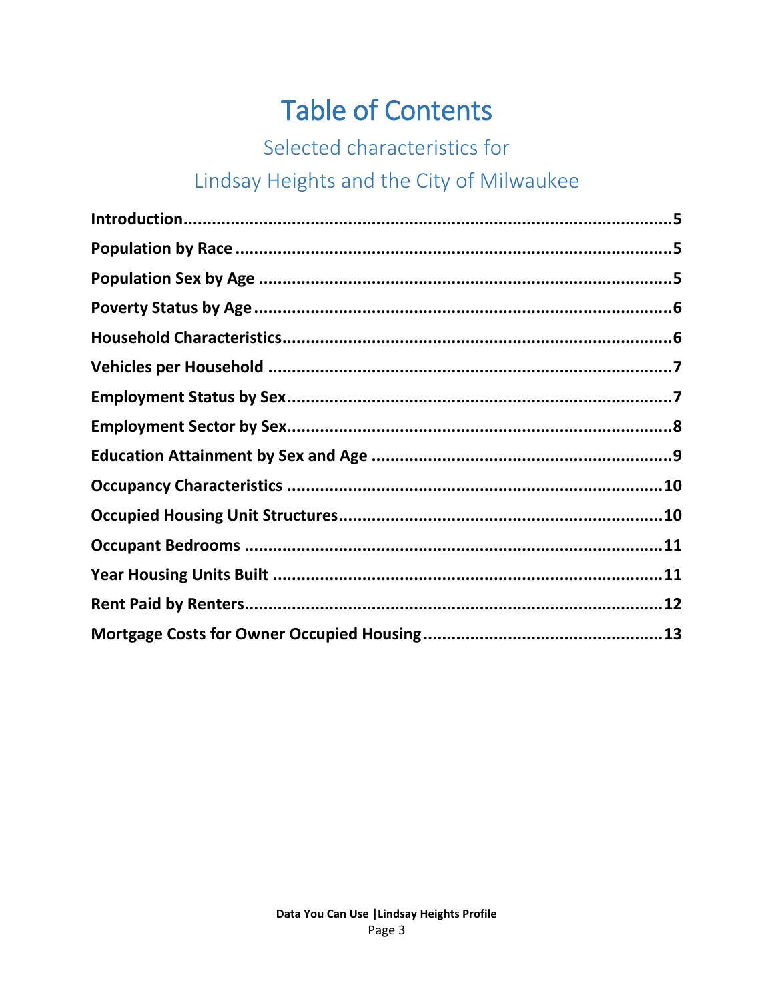# **Table of Contents**

## Selected characteristics for

## Lindsay Heights and the City of Milwaukee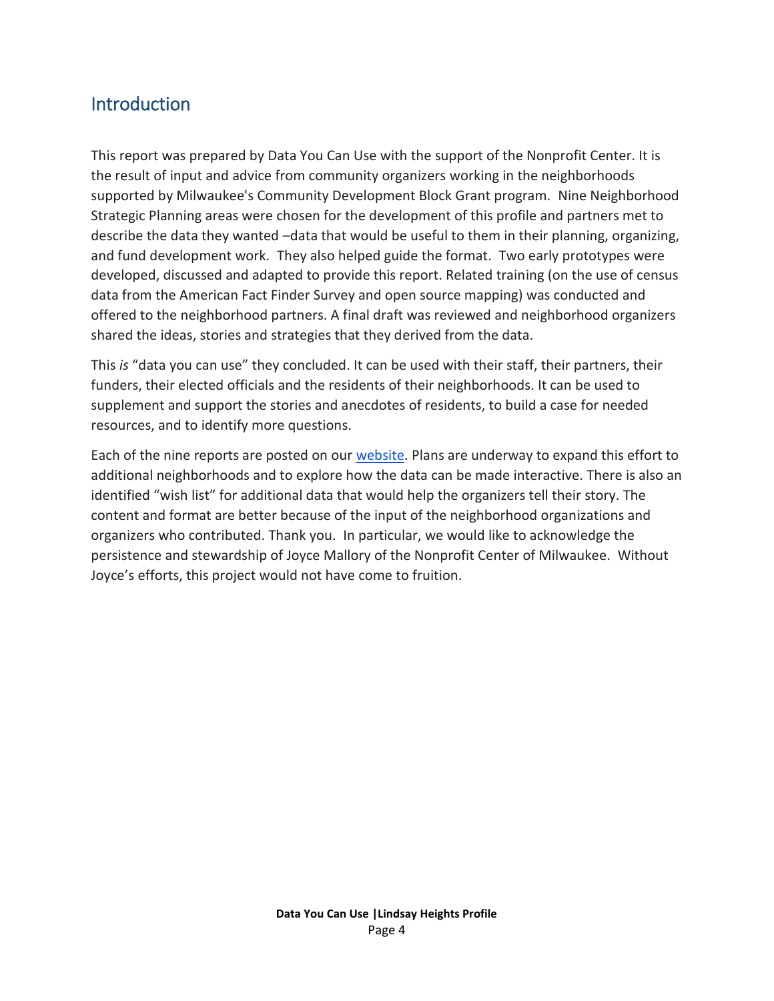#### **Introduction**

This report was prepared by Data You Can Use with the support of the Nonprofit Center. It is the result of input and advice from community organizers working in the neighborhoods supported by Milwaukee's Community Development Block Grant program. Nine Neighborhood Strategic Planning areas were chosen for the development of this profile and partners met to describe the data they wanted –data that would be useful to them in their planning, organizing, and fund development work. They also helped guide the format. Two early prototypes were developed, discussed and adapted to provide this report. Related training (on the use of census data from the American Fact Finder Survey and open source mapping) was conducted and offered to the neighborhood partners. A final draft was reviewed and neighborhood organizers shared the ideas, stories and strategies that they derived from the data.

This *is* "data you can use" they concluded. It can be used with their staff, their partners, their funders, their elected officials and the residents of their neighborhoods. It can be used to supplement and support the stories and anecdotes of residents, to build a case for needed resources, and to identify more questions.

Each of the nine reports are posted on our [website.](http://datayoucanuse.org/) Plans are underway to expand this effort to additional neighborhoods and to explore how the data can be made interactive. There is also an identified "wish list" for additional data that would help the organizers tell their story. The content and format are better because of the input of the neighborhood organizations and organizers who contributed. Thank you. In particular, we would like to acknowledge the persistence and stewardship of Joyce Mallory of the Nonprofit Center of Milwaukee. Without Joyce's efforts, this project would not have come to fruition.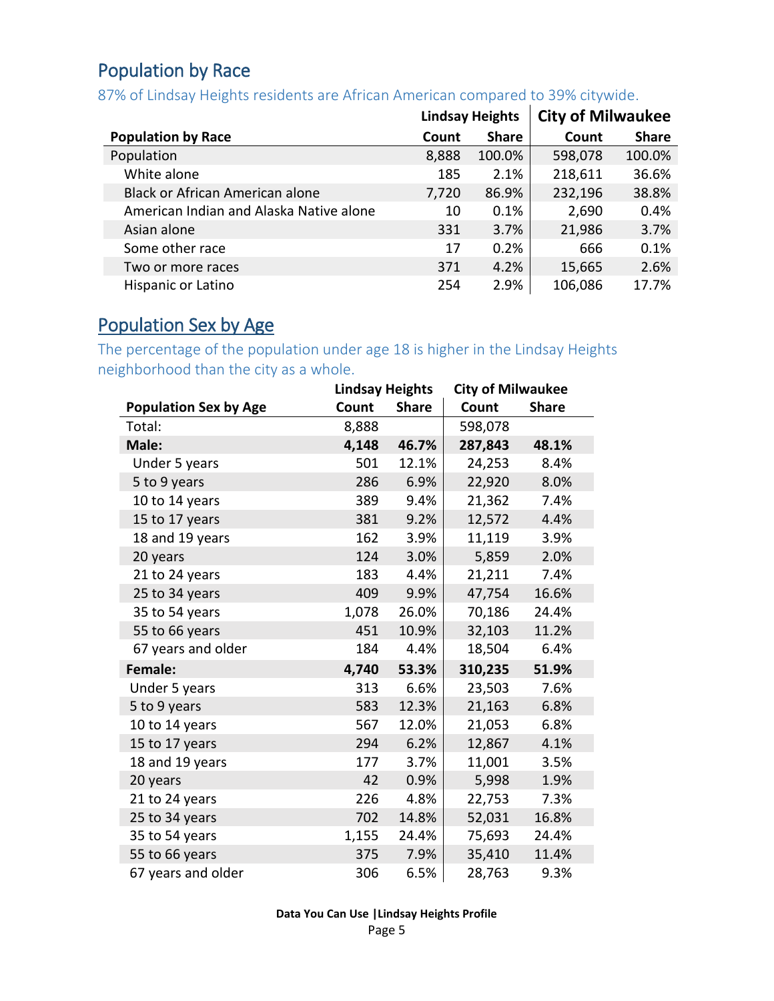#### <span id="page-4-0"></span>Population by Race

87% of Lindsay Heights residents are African American compared to 39% citywide.

|                                         |       | <b>Lindsay Heights</b> | <b>City of Milwaukee</b> |              |
|-----------------------------------------|-------|------------------------|--------------------------|--------------|
| <b>Population by Race</b>               | Count | <b>Share</b>           | Count                    | <b>Share</b> |
| Population                              | 8,888 | 100.0%                 | 598,078                  | 100.0%       |
| White alone                             | 185   | 2.1%                   | 218,611                  | 36.6%        |
| Black or African American alone         | 7,720 | 86.9%                  | 232,196                  | 38.8%        |
| American Indian and Alaska Native alone | 10    | 0.1%                   | 2,690                    | 0.4%         |
| Asian alone                             | 331   | 3.7%                   | 21,986                   | 3.7%         |
| Some other race                         | 17    | 0.2%                   | 666                      | 0.1%         |
| Two or more races                       | 371   | 4.2%                   | 15,665                   | 2.6%         |
| Hispanic or Latino                      | 254   | 2.9%                   | 106,086                  | 17.7%        |

#### <span id="page-4-1"></span>Population Sex by Age

The percentage of the population under age 18 is higher in the Lindsay Heights neighborhood than the city as a whole.

|                              | <b>Lindsay Heights</b> |              | <b>City of Milwaukee</b> |              |  |
|------------------------------|------------------------|--------------|--------------------------|--------------|--|
| <b>Population Sex by Age</b> | Count                  | <b>Share</b> | Count                    | <b>Share</b> |  |
| Total:                       | 8,888                  |              | 598,078                  |              |  |
| Male:                        | 4,148                  | 46.7%        | 287,843                  | 48.1%        |  |
| Under 5 years                | 501                    | 12.1%        | 24,253                   | 8.4%         |  |
| 5 to 9 years                 | 286                    | 6.9%         | 22,920                   | 8.0%         |  |
| 10 to 14 years               | 389                    | 9.4%         | 21,362                   | 7.4%         |  |
| 15 to 17 years               | 381                    | 9.2%         | 12,572                   | 4.4%         |  |
| 18 and 19 years              | 162                    | 3.9%         | 11,119                   | 3.9%         |  |
| 20 years                     | 124                    | 3.0%         | 5,859                    | 2.0%         |  |
| 21 to 24 years               | 183                    | 4.4%         | 21,211                   | 7.4%         |  |
| 25 to 34 years               | 409                    | 9.9%         | 47,754                   | 16.6%        |  |
| 35 to 54 years               | 1,078                  | 26.0%        | 70,186                   | 24.4%        |  |
| 55 to 66 years               | 451                    | 10.9%        | 32,103                   | 11.2%        |  |
| 67 years and older           | 184                    | 4.4%         | 18,504                   | 6.4%         |  |
| <b>Female:</b>               | 4,740                  | 53.3%        | 310,235                  | 51.9%        |  |
| Under 5 years                | 313                    | 6.6%         | 23,503                   | 7.6%         |  |
| 5 to 9 years                 | 583                    | 12.3%        | 21,163                   | 6.8%         |  |
| 10 to 14 years               | 567                    | 12.0%        | 21,053                   | 6.8%         |  |
| 15 to 17 years               | 294                    | 6.2%         | 12,867                   | 4.1%         |  |
| 18 and 19 years              | 177                    | 3.7%         | 11,001                   | 3.5%         |  |
| 20 years                     | 42                     | 0.9%         | 5,998                    | 1.9%         |  |
| 21 to 24 years               | 226                    | 4.8%         | 22,753                   | 7.3%         |  |
| 25 to 34 years               | 702                    | 14.8%        | 52,031                   | 16.8%        |  |
| 35 to 54 years               | 1,155                  | 24.4%        | 75,693                   | 24.4%        |  |
| 55 to 66 years               | 375                    | 7.9%         | 35,410                   | 11.4%        |  |
| 67 years and older           | 306                    | 6.5%         | 28,763                   | 9.3%         |  |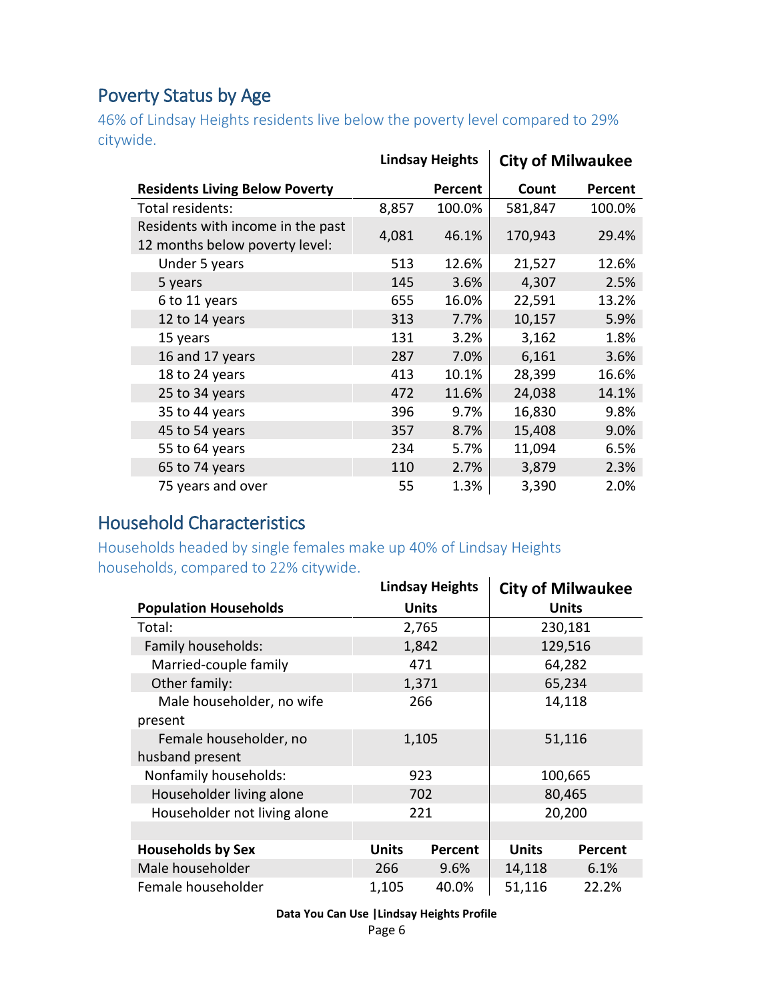### <span id="page-5-0"></span>Poverty Status by Age

46% of Lindsay Heights residents live below the poverty level compared to 29% citywide.

|                                                                     |       | <b>Lindsay Heights</b> | <b>City of Milwaukee</b> |         |
|---------------------------------------------------------------------|-------|------------------------|--------------------------|---------|
| <b>Residents Living Below Poverty</b>                               |       | Percent                | Count                    | Percent |
| Total residents:                                                    | 8,857 | 100.0%                 | 581,847                  | 100.0%  |
| Residents with income in the past<br>12 months below poverty level: | 4,081 | 46.1%                  | 170,943                  | 29.4%   |
| Under 5 years                                                       | 513   | 12.6%                  | 21,527                   | 12.6%   |
| 5 years                                                             | 145   | 3.6%                   | 4,307                    | 2.5%    |
| 6 to 11 years                                                       | 655   | 16.0%                  | 22,591                   | 13.2%   |
| 12 to 14 years                                                      | 313   | 7.7%                   | 10,157                   | 5.9%    |
| 15 years                                                            | 131   | 3.2%                   | 3,162                    | 1.8%    |
| 16 and 17 years                                                     | 287   | 7.0%                   | 6,161                    | 3.6%    |
| 18 to 24 years                                                      | 413   | 10.1%                  | 28,399                   | 16.6%   |
| 25 to 34 years                                                      | 472   | 11.6%                  | 24,038                   | 14.1%   |
| 35 to 44 years                                                      | 396   | 9.7%                   | 16,830                   | 9.8%    |
| 45 to 54 years                                                      | 357   | 8.7%                   | 15,408                   | 9.0%    |
| 55 to 64 years                                                      | 234   | 5.7%                   | 11,094                   | 6.5%    |
| 65 to 74 years                                                      | 110   | 2.7%                   | 3,879                    | 2.3%    |
| 75 years and over                                                   | 55    | 1.3%                   | 3,390                    | 2.0%    |

#### <span id="page-5-1"></span>Household Characteristics

Households headed by single females make up 40% of Lindsay Heights households, compared to 22% citywide.

|                              | <b>Lindsay Heights</b> |              |              | <b>City of Milwaukee</b> |
|------------------------------|------------------------|--------------|--------------|--------------------------|
| <b>Population Households</b> |                        | <b>Units</b> |              | Units                    |
| Total:                       |                        | 2,765        |              | 230,181                  |
| Family households:           |                        | 1,842        |              | 129,516                  |
| Married-couple family        |                        | 471          |              | 64,282                   |
| Other family:                |                        | 1,371        |              | 65,234                   |
| Male householder, no wife    | 266                    |              | 14,118       |                          |
| present                      |                        |              |              |                          |
| Female householder, no       | 1,105                  |              | 51,116       |                          |
| husband present              |                        |              |              |                          |
| Nonfamily households:        |                        | 923          | 100,665      |                          |
| Householder living alone     |                        | 702          | 80,465       |                          |
| Householder not living alone |                        | 221          |              | 20,200                   |
|                              |                        |              |              |                          |
| <b>Households by Sex</b>     | <b>Units</b>           | Percent      | <b>Units</b> | Percent                  |
| Male householder             | 266                    | 9.6%         | 14,118       | 6.1%                     |
| Female householder           | 1,105                  | 40.0%        | 51,116       | 22.2%                    |

**Data You Can Use |Lindsay Heights Profile**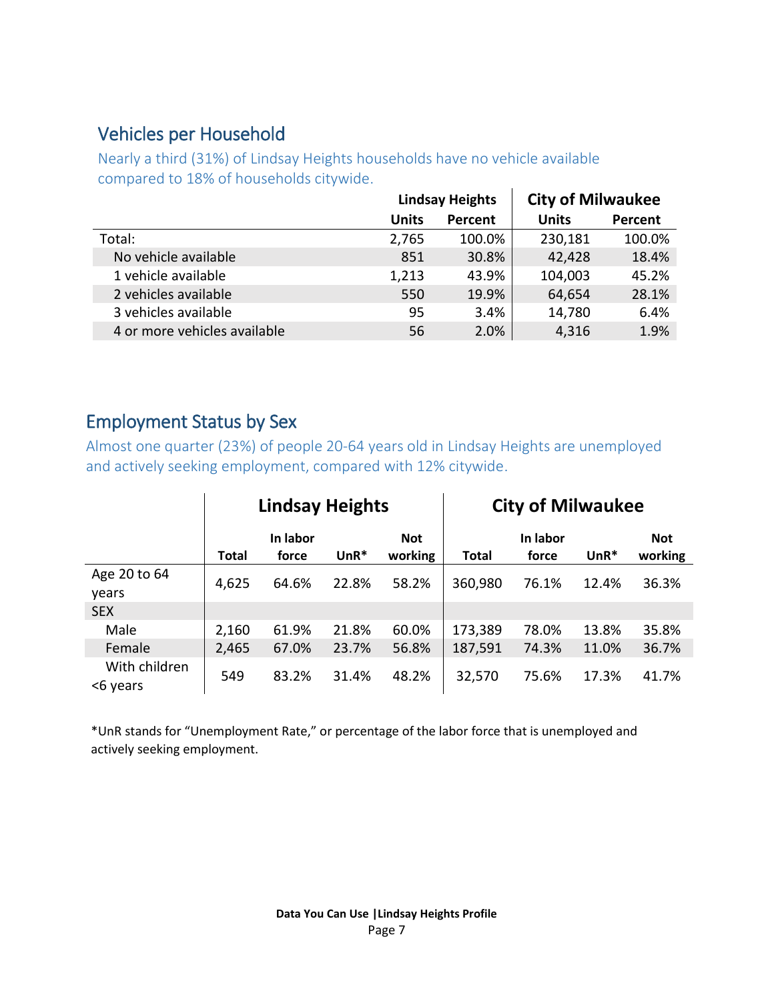#### <span id="page-6-0"></span>Vehicles per Household

Nearly a third (31%) of Lindsay Heights households have no vehicle available compared to 18% of households citywide.

| <b>City of Milwaukee</b> |
|--------------------------|
| Percent                  |
| 100.0%                   |
| 18.4%                    |
| 45.2%                    |
| 28.1%                    |
| 6.4%                     |
| 1.9%                     |
|                          |

#### <span id="page-6-1"></span>Employment Status by Sex

Almost one quarter (23%) of people 20-64 years old in Lindsay Heights are unemployed and actively seeking employment, compared with 12% citywide.

|                           | <b>Lindsay Heights</b> |                   |        | <b>City of Milwaukee</b> |              |                   |        |                       |
|---------------------------|------------------------|-------------------|--------|--------------------------|--------------|-------------------|--------|-----------------------|
|                           | <b>Total</b>           | In labor<br>force | $UnR*$ | <b>Not</b><br>working    | <b>Total</b> | In labor<br>force | $UnR*$ | <b>Not</b><br>working |
| Age 20 to 64<br>years     | 4,625                  | 64.6%             | 22.8%  | 58.2%                    | 360,980      | 76.1%             | 12.4%  | 36.3%                 |
| <b>SEX</b>                |                        |                   |        |                          |              |                   |        |                       |
| Male                      | 2,160                  | 61.9%             | 21.8%  | 60.0%                    | 173,389      | 78.0%             | 13.8%  | 35.8%                 |
| Female                    | 2,465                  | 67.0%             | 23.7%  | 56.8%                    | 187,591      | 74.3%             | 11.0%  | 36.7%                 |
| With children<br><6 years | 549                    | 83.2%             | 31.4%  | 48.2%                    | 32,570       | 75.6%             | 17.3%  | 41.7%                 |

\*UnR stands for "Unemployment Rate," or percentage of the labor force that is unemployed and actively seeking employment.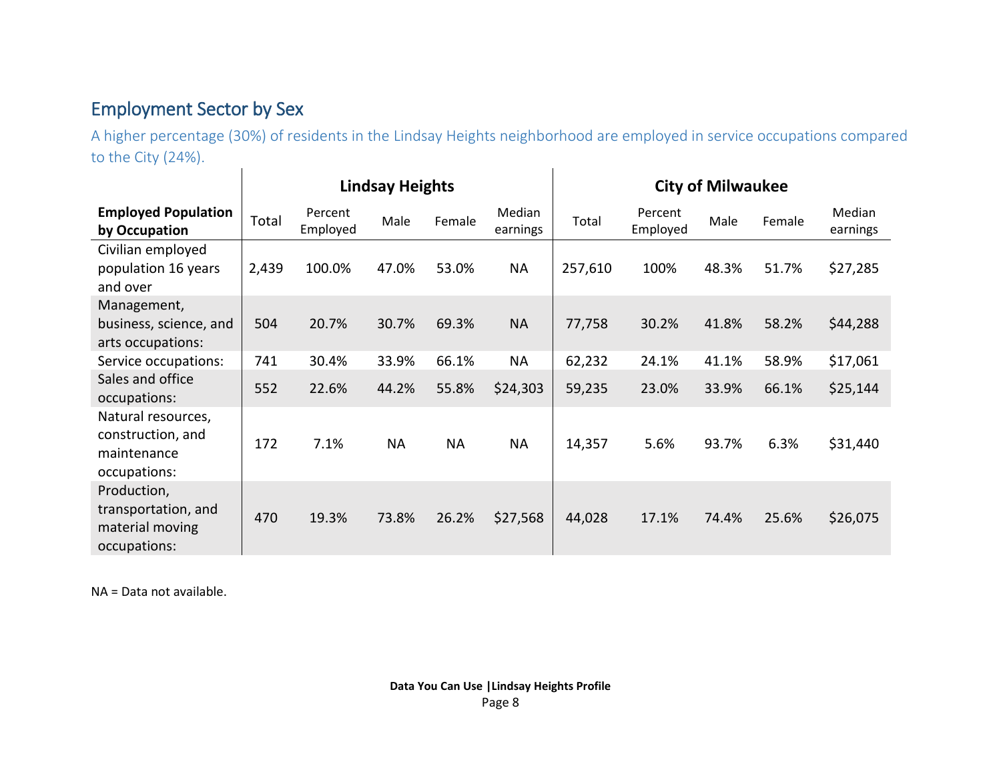#### Employment Sector by Sex

A higher percentage (30%) of residents in the Lindsay Heights neighborhood are employed in service occupations compared to the City (24%).  $\mathbf{I}$  $\mathbf{I}$ 

<span id="page-7-0"></span>

|                                                                        | <b>Lindsay Heights</b> |                     |           |           | <b>City of Milwaukee</b> |         |                     |       |        |                    |
|------------------------------------------------------------------------|------------------------|---------------------|-----------|-----------|--------------------------|---------|---------------------|-------|--------|--------------------|
| <b>Employed Population</b><br>by Occupation                            | Total                  | Percent<br>Employed | Male      | Female    | Median<br>earnings       | Total   | Percent<br>Employed | Male  | Female | Median<br>earnings |
| Civilian employed<br>population 16 years<br>and over                   | 2,439                  | 100.0%              | 47.0%     | 53.0%     | <b>NA</b>                | 257,610 | 100%                | 48.3% | 51.7%  | \$27,285           |
| Management,<br>business, science, and<br>arts occupations:             | 504                    | 20.7%               | 30.7%     | 69.3%     | <b>NA</b>                | 77,758  | 30.2%               | 41.8% | 58.2%  | \$44,288           |
| Service occupations:                                                   | 741                    | 30.4%               | 33.9%     | 66.1%     | <b>NA</b>                | 62,232  | 24.1%               | 41.1% | 58.9%  | \$17,061           |
| Sales and office<br>occupations:                                       | 552                    | 22.6%               | 44.2%     | 55.8%     | \$24,303                 | 59,235  | 23.0%               | 33.9% | 66.1%  | \$25,144           |
| Natural resources,<br>construction, and<br>maintenance<br>occupations: | 172                    | 7.1%                | <b>NA</b> | <b>NA</b> | <b>NA</b>                | 14,357  | 5.6%                | 93.7% | 6.3%   | \$31,440           |
| Production,<br>transportation, and<br>material moving<br>occupations:  | 470                    | 19.3%               | 73.8%     | 26.2%     | \$27,568                 | 44,028  | 17.1%               | 74.4% | 25.6%  | \$26,075           |

NA = Data not available.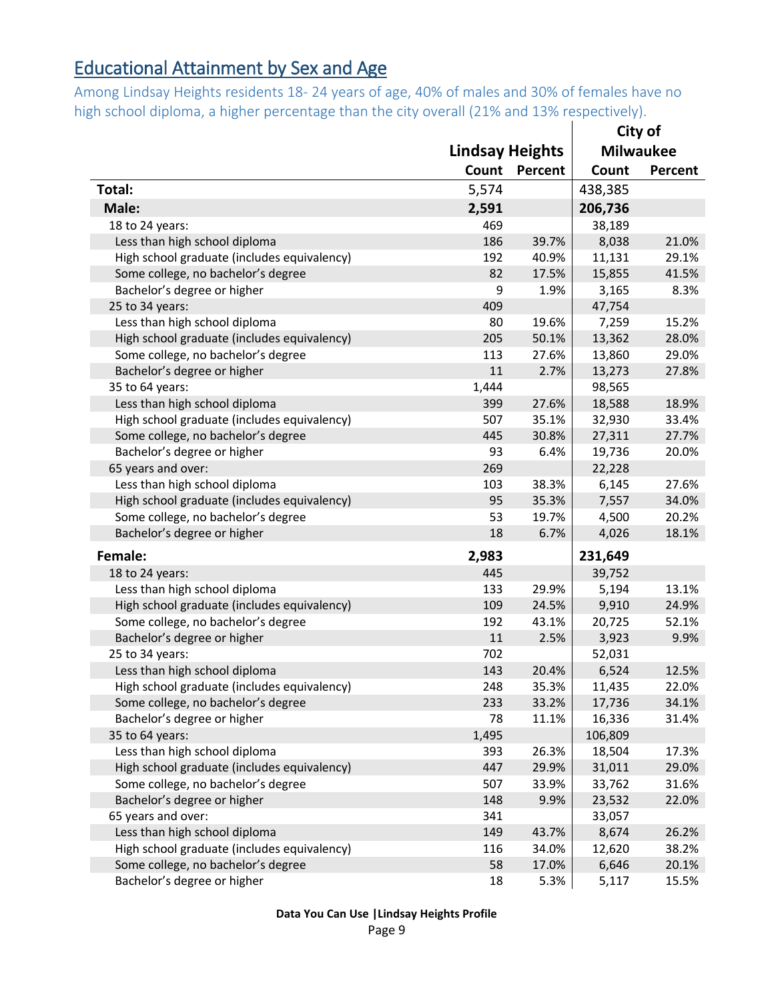## <span id="page-8-0"></span>Educational Attainment by Sex and Age

Among Lindsay Heights residents 18- 24 years of age, 40% of males and 30% of females have no high school diploma, a higher percentage than the city overall (21% and 13% respectively).

|                                             |                        |         | City of |                  |  |
|---------------------------------------------|------------------------|---------|---------|------------------|--|
|                                             | <b>Lindsay Heights</b> |         |         | <b>Milwaukee</b> |  |
|                                             | Count                  | Percent | Count   | Percent          |  |
| Total:                                      | 5,574                  |         | 438,385 |                  |  |
| Male:                                       | 2,591                  |         | 206,736 |                  |  |
| 18 to 24 years:                             | 469                    |         | 38,189  |                  |  |
| Less than high school diploma               | 186                    | 39.7%   | 8,038   | 21.0%            |  |
| High school graduate (includes equivalency) | 192                    | 40.9%   | 11,131  | 29.1%            |  |
| Some college, no bachelor's degree          | 82                     | 17.5%   | 15,855  | 41.5%            |  |
| Bachelor's degree or higher                 | 9                      | 1.9%    | 3,165   | 8.3%             |  |
| 25 to 34 years:                             | 409                    |         | 47,754  |                  |  |
| Less than high school diploma               | 80                     | 19.6%   | 7,259   | 15.2%            |  |
| High school graduate (includes equivalency) | 205                    | 50.1%   | 13,362  | 28.0%            |  |
| Some college, no bachelor's degree          | 113                    | 27.6%   | 13,860  | 29.0%            |  |
| Bachelor's degree or higher                 | 11                     | 2.7%    | 13,273  | 27.8%            |  |
| 35 to 64 years:                             | 1,444                  |         | 98,565  |                  |  |
| Less than high school diploma               | 399                    | 27.6%   | 18,588  | 18.9%            |  |
| High school graduate (includes equivalency) | 507                    | 35.1%   | 32,930  | 33.4%            |  |
| Some college, no bachelor's degree          | 445                    | 30.8%   | 27,311  | 27.7%            |  |
| Bachelor's degree or higher                 | 93                     | 6.4%    | 19,736  | 20.0%            |  |
| 65 years and over:                          | 269                    |         | 22,228  |                  |  |
| Less than high school diploma               | 103                    | 38.3%   | 6,145   | 27.6%            |  |
| High school graduate (includes equivalency) | 95                     | 35.3%   | 7,557   | 34.0%            |  |
| Some college, no bachelor's degree          | 53                     | 19.7%   | 4,500   | 20.2%            |  |
| Bachelor's degree or higher                 | 18                     | 6.7%    | 4,026   | 18.1%            |  |
| Female:                                     | 2,983                  |         | 231,649 |                  |  |
| 18 to 24 years:                             | 445                    |         | 39,752  |                  |  |
| Less than high school diploma               | 133                    | 29.9%   | 5,194   | 13.1%            |  |
| High school graduate (includes equivalency) | 109                    | 24.5%   | 9,910   | 24.9%            |  |
| Some college, no bachelor's degree          | 192                    | 43.1%   | 20,725  | 52.1%            |  |
| Bachelor's degree or higher                 | 11                     | 2.5%    | 3,923   | 9.9%             |  |
| 25 to 34 years:                             | 702                    |         | 52,031  |                  |  |
| Less than high school diploma               | 143                    | 20.4%   | 6,524   | 12.5%            |  |
| High school graduate (includes equivalency) | 248                    | 35.3%   | 11,435  | 22.0%            |  |
| Some college, no bachelor's degree          | 233                    | 33.2%   | 17,736  | 34.1%            |  |
| Bachelor's degree or higher                 | 78                     | 11.1%   | 16,336  | 31.4%            |  |
| 35 to 64 years:                             | 1,495                  |         | 106,809 |                  |  |
| Less than high school diploma               | 393                    | 26.3%   | 18,504  | 17.3%            |  |
| High school graduate (includes equivalency) | 447                    | 29.9%   | 31,011  | 29.0%            |  |
| Some college, no bachelor's degree          | 507                    | 33.9%   | 33,762  | 31.6%            |  |
| Bachelor's degree or higher                 | 148                    | 9.9%    | 23,532  | 22.0%            |  |
| 65 years and over:                          | 341                    |         | 33,057  |                  |  |
| Less than high school diploma               | 149                    | 43.7%   | 8,674   | 26.2%            |  |
| High school graduate (includes equivalency) | 116                    | 34.0%   | 12,620  | 38.2%            |  |
| Some college, no bachelor's degree          | 58                     | 17.0%   | 6,646   | 20.1%            |  |
| Bachelor's degree or higher                 | 18                     | 5.3%    | 5,117   | 15.5%            |  |

**Data You Can Use |Lindsay Heights Profile**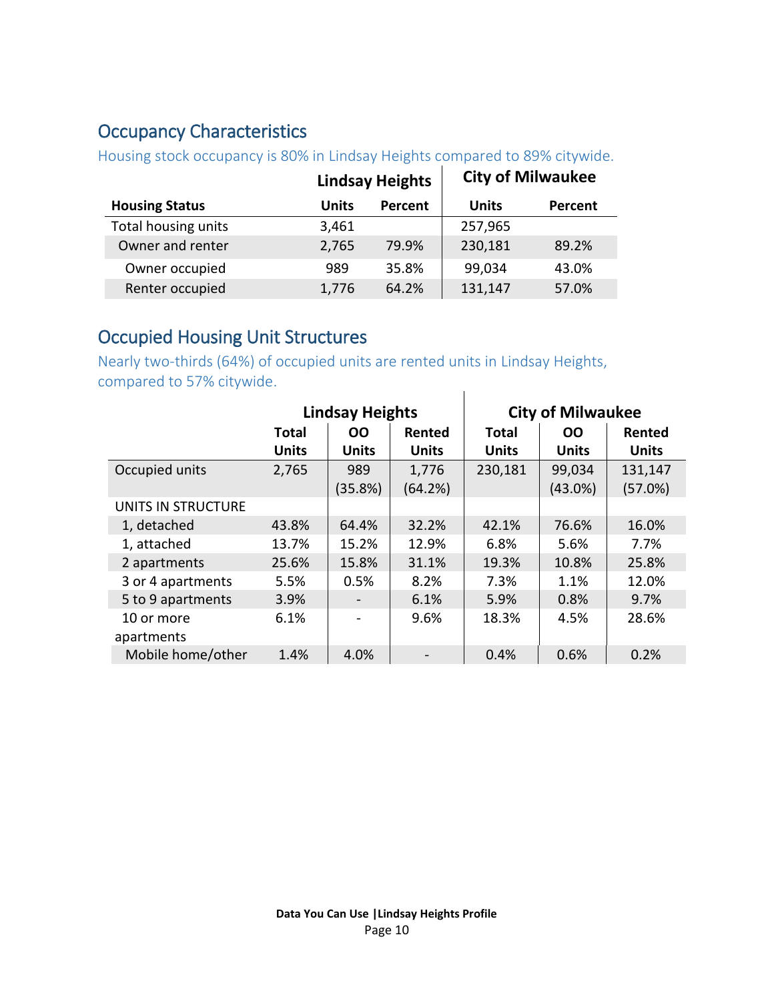#### <span id="page-9-1"></span>Occupancy Characteristics

| <b>TO GOTTA OCOORD OFFICERS IN EXTRACTLY THORNEY CONTRACT CONTROL</b> |              |                        |              |                          |  |  |  |  |
|-----------------------------------------------------------------------|--------------|------------------------|--------------|--------------------------|--|--|--|--|
|                                                                       |              | <b>Lindsay Heights</b> |              | <b>City of Milwaukee</b> |  |  |  |  |
| <b>Housing Status</b>                                                 | <b>Units</b> | Percent                | <b>Units</b> | Percent                  |  |  |  |  |
| Total housing units                                                   | 3,461        |                        | 257,965      |                          |  |  |  |  |
| Owner and renter                                                      | 2,765        | 79.9%                  | 230,181      | 89.2%                    |  |  |  |  |
| Owner occupied                                                        | 989          | 35.8%                  | 99,034       | 43.0%                    |  |  |  |  |
| Renter occupied                                                       | 1,776        | 64.2%                  | 131,147      | 57.0%                    |  |  |  |  |

Housing stock occupancy is 80% in Lindsay Heights compared to 89% citywide.

#### <span id="page-9-0"></span>Occupied Housing Unit Structures

Nearly two-thirds (64%) of occupied units are rented units in Lindsay Heights, compared to 57% citywide.  $\begin{array}{c} \hline \end{array}$ 

|                    |              | <b>Lindsay Heights</b>       |              | <b>City of Milwaukee</b> |              |              |
|--------------------|--------------|------------------------------|--------------|--------------------------|--------------|--------------|
|                    | Total        | <b>OO</b>                    | Rented       | <b>Total</b>             | <b>OO</b>    | Rented       |
|                    | <b>Units</b> | <b>Units</b>                 | <b>Units</b> | <b>Units</b>             | <b>Units</b> | <b>Units</b> |
| Occupied units     | 2,765        | 989                          | 1,776        | 230,181                  | 99,034       | 131,147      |
|                    |              | (35.8%)                      | (64.2%)      |                          | $(43.0\%)$   | (57.0%)      |
| UNITS IN STRUCTURE |              |                              |              |                          |              |              |
| 1, detached        | 43.8%        | 64.4%                        | 32.2%        | 42.1%                    | 76.6%        | 16.0%        |
| 1, attached        | 13.7%        | 15.2%                        | 12.9%        | 6.8%                     | 5.6%         | 7.7%         |
| 2 apartments       | 25.6%        | 15.8%                        | 31.1%        | 19.3%                    | 10.8%        | 25.8%        |
| 3 or 4 apartments  | 5.5%         | 0.5%                         | 8.2%         | 7.3%                     | 1.1%         | 12.0%        |
| 5 to 9 apartments  | 3.9%         | $\overline{\phantom{a}}$     | 6.1%         | 5.9%                     | 0.8%         | 9.7%         |
| 10 or more         | 6.1%         | $\qquad \qquad \blacksquare$ | 9.6%         | 18.3%                    | 4.5%         | 28.6%        |
| apartments         |              |                              |              |                          |              |              |
| Mobile home/other  | 1.4%         | 4.0%                         |              | 0.4%                     | 0.6%         | 0.2%         |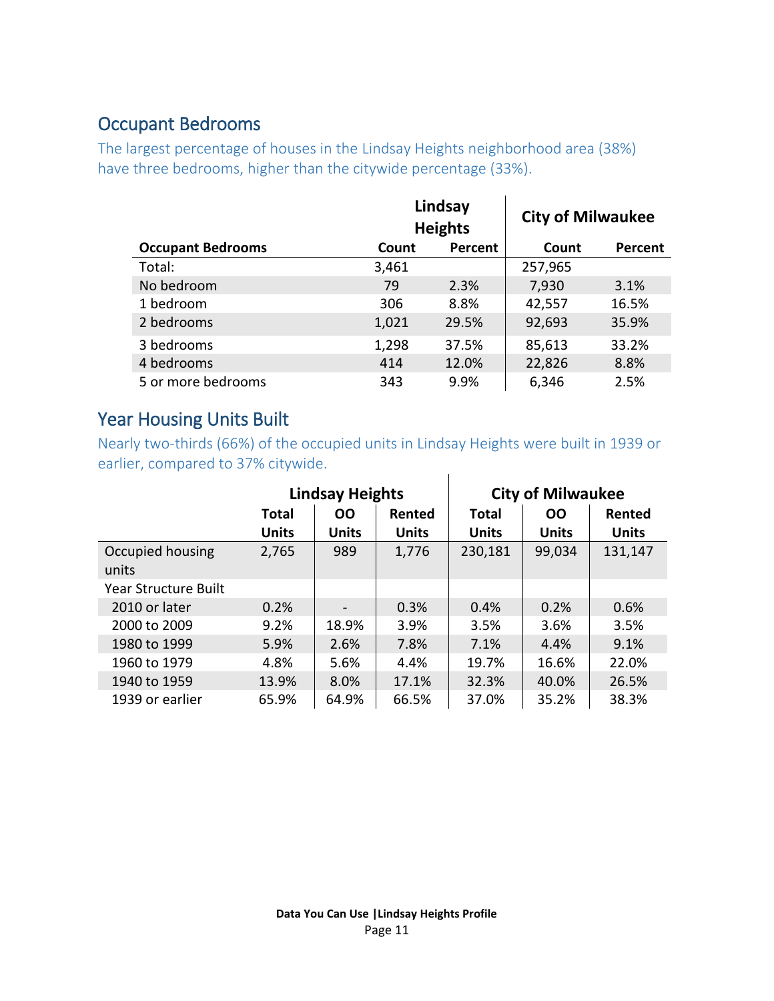#### <span id="page-10-0"></span>Occupant Bedrooms

The largest percentage of houses in the Lindsay Heights neighborhood area (38%) have three bedrooms, higher than the citywide percentage (33%).

|                          |       | Lindsay<br><b>Heights</b> | <b>City of Milwaukee</b> |         |
|--------------------------|-------|---------------------------|--------------------------|---------|
| <b>Occupant Bedrooms</b> | Count | Percent                   | Count                    | Percent |
| Total:                   | 3,461 |                           | 257,965                  |         |
| No bedroom               | 79    | 2.3%                      | 7,930                    | 3.1%    |
| 1 bedroom                | 306   | 8.8%                      | 42,557                   | 16.5%   |
| 2 bedrooms               | 1,021 | 29.5%                     | 92,693                   | 35.9%   |
| 3 bedrooms               | 1,298 | 37.5%                     | 85,613                   | 33.2%   |
| 4 bedrooms               | 414   | 12.0%                     | 22,826                   | 8.8%    |
| 5 or more bedrooms       | 343   | 9.9%                      | 6,346                    | 2.5%    |

#### <span id="page-10-1"></span>Year Housing Units Built

Nearly two-thirds (66%) of the occupied units in Lindsay Heights were built in 1939 or earlier, compared to 37% citywide.  $\mathbf{L}$ 

|                             | <b>Lindsay Heights</b> |                          | <b>City of Milwaukee</b> |              |              |              |
|-----------------------------|------------------------|--------------------------|--------------------------|--------------|--------------|--------------|
|                             | <b>Total</b>           | <b>OO</b>                | Rented                   | <b>Total</b> | <b>OO</b>    | Rented       |
|                             | <b>Units</b>           | <b>Units</b>             | <b>Units</b>             | <b>Units</b> | <b>Units</b> | <b>Units</b> |
| Occupied housing<br>units   | 2,765                  | 989                      | 1,776                    | 230,181      | 99,034       | 131,147      |
| <b>Year Structure Built</b> |                        |                          |                          |              |              |              |
| 2010 or later               | 0.2%                   | $\overline{\phantom{a}}$ | 0.3%                     | 0.4%         | 0.2%         | 0.6%         |
| 2000 to 2009                | 9.2%                   | 18.9%                    | 3.9%                     | 3.5%         | 3.6%         | 3.5%         |
| 1980 to 1999                | 5.9%                   | 2.6%                     | 7.8%                     | 7.1%         | 4.4%         | 9.1%         |
| 1960 to 1979                | 4.8%                   | 5.6%                     | 4.4%                     | 19.7%        | 16.6%        | 22.0%        |
| 1940 to 1959                | 13.9%                  | 8.0%                     | 17.1%                    | 32.3%        | 40.0%        | 26.5%        |
| 1939 or earlier             | 65.9%                  | 64.9%                    | 66.5%                    | 37.0%        | 35.2%        | 38.3%        |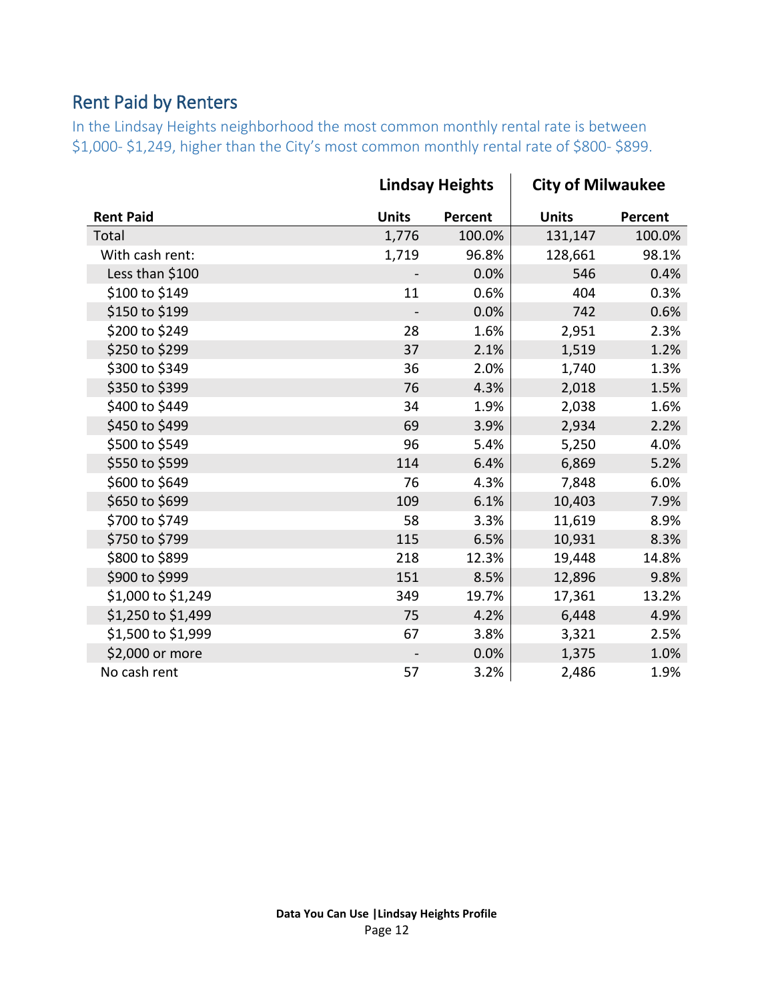### <span id="page-11-0"></span>Rent Paid by Renters

In the Lindsay Heights neighborhood the most common monthly rental rate is between \$1,000- \$1,249, higher than the City's most common monthly rental rate of \$800- \$899.

|                    | <b>Lindsay Heights</b> |                | <b>City of Milwaukee</b> |         |
|--------------------|------------------------|----------------|--------------------------|---------|
| <b>Rent Paid</b>   | <b>Units</b>           | <b>Percent</b> | <b>Units</b>             | Percent |
| Total              | 1,776                  | 100.0%         | 131,147                  | 100.0%  |
| With cash rent:    | 1,719                  | 96.8%          | 128,661                  | 98.1%   |
| Less than \$100    |                        | 0.0%           | 546                      | 0.4%    |
| \$100 to \$149     | 11                     | 0.6%           | 404                      | 0.3%    |
| \$150 to \$199     |                        | 0.0%           | 742                      | 0.6%    |
| \$200 to \$249     | 28                     | 1.6%           | 2,951                    | 2.3%    |
| \$250 to \$299     | 37                     | 2.1%           | 1,519                    | 1.2%    |
| \$300 to \$349     | 36                     | 2.0%           | 1,740                    | 1.3%    |
| \$350 to \$399     | 76                     | 4.3%           | 2,018                    | 1.5%    |
| \$400 to \$449     | 34                     | 1.9%           | 2,038                    | 1.6%    |
| \$450 to \$499     | 69                     | 3.9%           | 2,934                    | 2.2%    |
| \$500 to \$549     | 96                     | 5.4%           | 5,250                    | 4.0%    |
| \$550 to \$599     | 114                    | 6.4%           | 6,869                    | 5.2%    |
| \$600 to \$649     | 76                     | 4.3%           | 7,848                    | 6.0%    |
| \$650 to \$699     | 109                    | 6.1%           | 10,403                   | 7.9%    |
| \$700 to \$749     | 58                     | 3.3%           | 11,619                   | 8.9%    |
| \$750 to \$799     | 115                    | 6.5%           | 10,931                   | 8.3%    |
| \$800 to \$899     | 218                    | 12.3%          | 19,448                   | 14.8%   |
| \$900 to \$999     | 151                    | 8.5%           | 12,896                   | 9.8%    |
| \$1,000 to \$1,249 | 349                    | 19.7%          | 17,361                   | 13.2%   |
| \$1,250 to \$1,499 | 75                     | 4.2%           | 6,448                    | 4.9%    |
| \$1,500 to \$1,999 | 67                     | 3.8%           | 3,321                    | 2.5%    |
| \$2,000 or more    |                        | 0.0%           | 1,375                    | 1.0%    |
| No cash rent       | 57                     | 3.2%           | 2,486                    | 1.9%    |